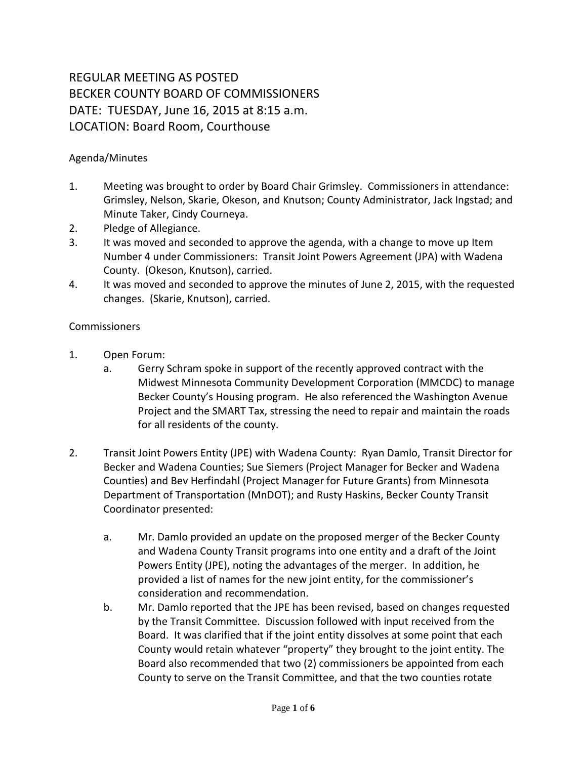## REGULAR MEETING AS POSTED BECKER COUNTY BOARD OF COMMISSIONERS DATE: TUESDAY, June 16, 2015 at 8:15 a.m. LOCATION: Board Room, Courthouse

## Agenda/Minutes

- 1. Meeting was brought to order by Board Chair Grimsley. Commissioners in attendance: Grimsley, Nelson, Skarie, Okeson, and Knutson; County Administrator, Jack Ingstad; and Minute Taker, Cindy Courneya.
- 2. Pledge of Allegiance.
- 3. It was moved and seconded to approve the agenda, with a change to move up Item Number 4 under Commissioners: Transit Joint Powers Agreement (JPA) with Wadena County. (Okeson, Knutson), carried.
- 4. It was moved and seconded to approve the minutes of June 2, 2015, with the requested changes. (Skarie, Knutson), carried.

## Commissioners

- 1. Open Forum:
	- a. Gerry Schram spoke in support of the recently approved contract with the Midwest Minnesota Community Development Corporation (MMCDC) to manage Becker County's Housing program. He also referenced the Washington Avenue Project and the SMART Tax, stressing the need to repair and maintain the roads for all residents of the county.
- 2. Transit Joint Powers Entity (JPE) with Wadena County: Ryan Damlo, Transit Director for Becker and Wadena Counties; Sue Siemers (Project Manager for Becker and Wadena Counties) and Bev Herfindahl (Project Manager for Future Grants) from Minnesota Department of Transportation (MnDOT); and Rusty Haskins, Becker County Transit Coordinator presented:
	- a. Mr. Damlo provided an update on the proposed merger of the Becker County and Wadena County Transit programs into one entity and a draft of the Joint Powers Entity (JPE), noting the advantages of the merger. In addition, he provided a list of names for the new joint entity, for the commissioner's consideration and recommendation.
	- b. Mr. Damlo reported that the JPE has been revised, based on changes requested by the Transit Committee. Discussion followed with input received from the Board. It was clarified that if the joint entity dissolves at some point that each County would retain whatever "property" they brought to the joint entity. The Board also recommended that two (2) commissioners be appointed from each County to serve on the Transit Committee, and that the two counties rotate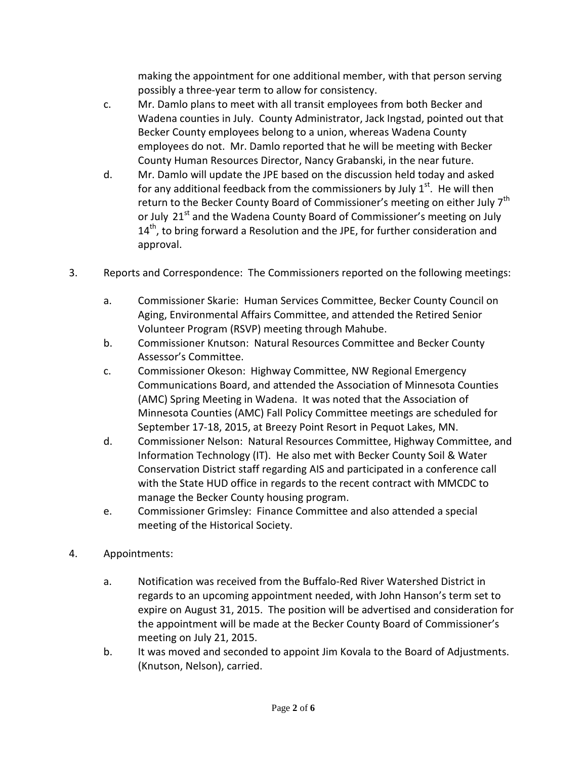making the appointment for one additional member, with that person serving possibly a three-year term to allow for consistency.

- c. Mr. Damlo plans to meet with all transit employees from both Becker and Wadena counties in July. County Administrator, Jack Ingstad, pointed out that Becker County employees belong to a union, whereas Wadena County employees do not. Mr. Damlo reported that he will be meeting with Becker County Human Resources Director, Nancy Grabanski, in the near future.
- d. Mr. Damlo will update the JPE based on the discussion held today and asked for any additional feedback from the commissioners by July  $1<sup>st</sup>$ . He will then return to the Becker County Board of Commissioner's meeting on either July 7<sup>th</sup> or July 21<sup>st</sup> and the Wadena County Board of Commissioner's meeting on July 14<sup>th</sup>, to bring forward a Resolution and the JPE, for further consideration and approval.
- 3. Reports and Correspondence: The Commissioners reported on the following meetings:
	- a. Commissioner Skarie: Human Services Committee, Becker County Council on Aging, Environmental Affairs Committee, and attended the Retired Senior Volunteer Program (RSVP) meeting through Mahube.
	- b. Commissioner Knutson: Natural Resources Committee and Becker County Assessor's Committee.
	- c. Commissioner Okeson: Highway Committee, NW Regional Emergency Communications Board, and attended the Association of Minnesota Counties (AMC) Spring Meeting in Wadena. It was noted that the Association of Minnesota Counties (AMC) Fall Policy Committee meetings are scheduled for September 17-18, 2015, at Breezy Point Resort in Pequot Lakes, MN.
	- d. Commissioner Nelson: Natural Resources Committee, Highway Committee, and Information Technology (IT). He also met with Becker County Soil & Water Conservation District staff regarding AIS and participated in a conference call with the State HUD office in regards to the recent contract with MMCDC to manage the Becker County housing program.
	- e. Commissioner Grimsley: Finance Committee and also attended a special meeting of the Historical Society.
- 4. Appointments:
	- a. Notification was received from the Buffalo-Red River Watershed District in regards to an upcoming appointment needed, with John Hanson's term set to expire on August 31, 2015. The position will be advertised and consideration for the appointment will be made at the Becker County Board of Commissioner's meeting on July 21, 2015.
	- b. It was moved and seconded to appoint Jim Kovala to the Board of Adjustments. (Knutson, Nelson), carried.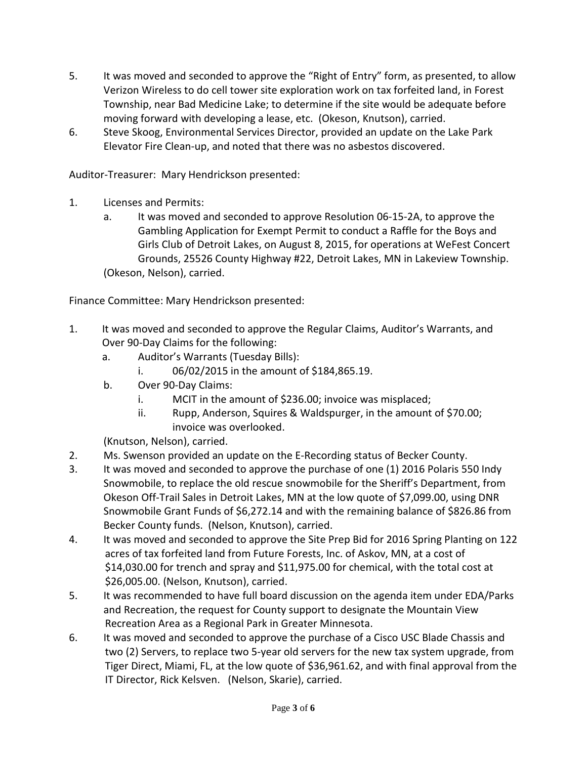- 5. It was moved and seconded to approve the "Right of Entry" form, as presented, to allow Verizon Wireless to do cell tower site exploration work on tax forfeited land, in Forest Township, near Bad Medicine Lake; to determine if the site would be adequate before moving forward with developing a lease, etc. (Okeson, Knutson), carried.
- 6. Steve Skoog, Environmental Services Director, provided an update on the Lake Park Elevator Fire Clean-up, and noted that there was no asbestos discovered.

Auditor-Treasurer: Mary Hendrickson presented:

- 1. Licenses and Permits:
	- a. It was moved and seconded to approve Resolution 06-15-2A, to approve the Gambling Application for Exempt Permit to conduct a Raffle for the Boys and Girls Club of Detroit Lakes, on August 8, 2015, for operations at WeFest Concert Grounds, 25526 County Highway #22, Detroit Lakes, MN in Lakeview Township. (Okeson, Nelson), carried.

Finance Committee: Mary Hendrickson presented:

- 1. It was moved and seconded to approve the Regular Claims, Auditor's Warrants, and Over 90-Day Claims for the following:
	- a. Auditor's Warrants (Tuesday Bills):
		- i. 06/02/2015 in the amount of \$184,865.19.
	- b. Over 90-Day Claims:
		- i. MCIT in the amount of \$236.00; invoice was misplaced;
		- ii. Rupp, Anderson, Squires & Waldspurger, in the amount of \$70.00; invoice was overlooked.

(Knutson, Nelson), carried.

- 2. Ms. Swenson provided an update on the E-Recording status of Becker County.
- 3. It was moved and seconded to approve the purchase of one (1) 2016 Polaris 550 Indy Snowmobile, to replace the old rescue snowmobile for the Sheriff's Department, from Okeson Off-Trail Sales in Detroit Lakes, MN at the low quote of \$7,099.00, using DNR Snowmobile Grant Funds of \$6,272.14 and with the remaining balance of \$826.86 from Becker County funds. (Nelson, Knutson), carried.
- 4. It was moved and seconded to approve the Site Prep Bid for 2016 Spring Planting on 122 acres of tax forfeited land from Future Forests, Inc. of Askov, MN, at a cost of \$14,030.00 for trench and spray and \$11,975.00 for chemical, with the total cost at \$26,005.00. (Nelson, Knutson), carried.
- 5. It was recommended to have full board discussion on the agenda item under EDA/Parks and Recreation, the request for County support to designate the Mountain View Recreation Area as a Regional Park in Greater Minnesota.
- 6. It was moved and seconded to approve the purchase of a Cisco USC Blade Chassis and two (2) Servers, to replace two 5-year old servers for the new tax system upgrade, from Tiger Direct, Miami, FL, at the low quote of \$36,961.62, and with final approval from the IT Director, Rick Kelsven. (Nelson, Skarie), carried.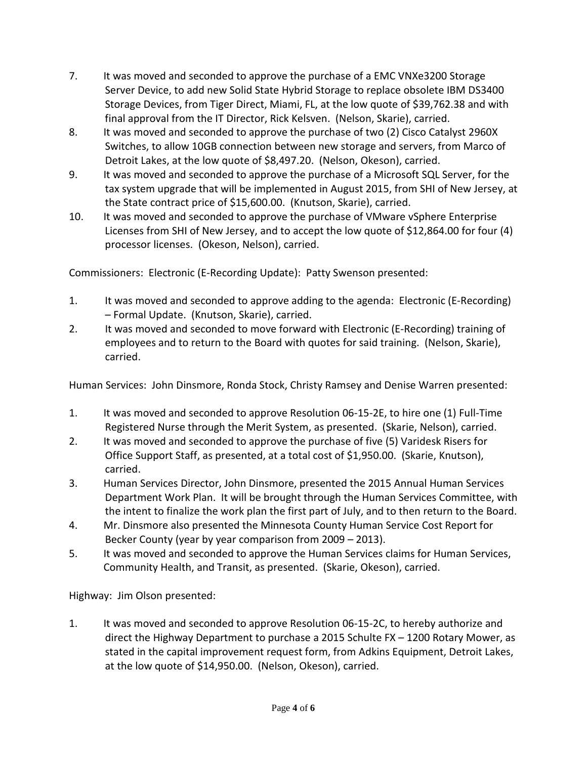- 7. It was moved and seconded to approve the purchase of a EMC VNXe3200 Storage Server Device, to add new Solid State Hybrid Storage to replace obsolete IBM DS3400 Storage Devices, from Tiger Direct, Miami, FL, at the low quote of \$39,762.38 and with final approval from the IT Director, Rick Kelsven. (Nelson, Skarie), carried.
- 8. It was moved and seconded to approve the purchase of two (2) Cisco Catalyst 2960X Switches, to allow 10GB connection between new storage and servers, from Marco of Detroit Lakes, at the low quote of \$8,497.20. (Nelson, Okeson), carried.
- 9. It was moved and seconded to approve the purchase of a Microsoft SQL Server, for the tax system upgrade that will be implemented in August 2015, from SHI of New Jersey, at the State contract price of \$15,600.00. (Knutson, Skarie), carried.
- 10. It was moved and seconded to approve the purchase of VMware vSphere Enterprise Licenses from SHI of New Jersey, and to accept the low quote of \$12,864.00 for four (4) processor licenses. (Okeson, Nelson), carried.

Commissioners: Electronic (E-Recording Update): Patty Swenson presented:

- 1. It was moved and seconded to approve adding to the agenda: Electronic (E-Recording) – Formal Update. (Knutson, Skarie), carried.
- 2. It was moved and seconded to move forward with Electronic (E-Recording) training of employees and to return to the Board with quotes for said training. (Nelson, Skarie), carried.

Human Services: John Dinsmore, Ronda Stock, Christy Ramsey and Denise Warren presented:

- 1. It was moved and seconded to approve Resolution 06-15-2E, to hire one (1) Full-Time Registered Nurse through the Merit System, as presented. (Skarie, Nelson), carried.
- 2. It was moved and seconded to approve the purchase of five (5) Varidesk Risers for Office Support Staff, as presented, at a total cost of \$1,950.00. (Skarie, Knutson), carried.
- 3. Human Services Director, John Dinsmore, presented the 2015 Annual Human Services Department Work Plan. It will be brought through the Human Services Committee, with the intent to finalize the work plan the first part of July, and to then return to the Board.
- 4. Mr. Dinsmore also presented the Minnesota County Human Service Cost Report for Becker County (year by year comparison from 2009 – 2013).
- 5. It was moved and seconded to approve the Human Services claims for Human Services, Community Health, and Transit, as presented. (Skarie, Okeson), carried.

Highway: Jim Olson presented:

1. It was moved and seconded to approve Resolution 06-15-2C, to hereby authorize and direct the Highway Department to purchase a 2015 Schulte FX – 1200 Rotary Mower, as stated in the capital improvement request form, from Adkins Equipment, Detroit Lakes, at the low quote of \$14,950.00. (Nelson, Okeson), carried.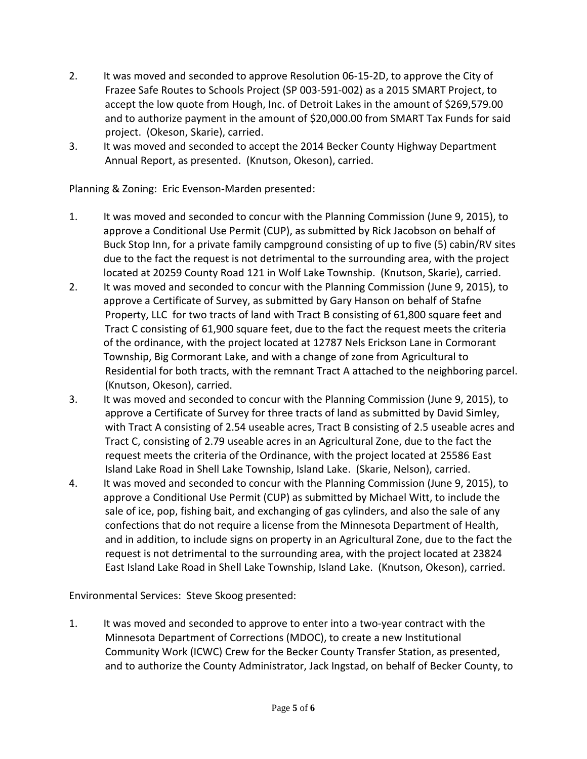- 2. It was moved and seconded to approve Resolution 06-15-2D, to approve the City of Frazee Safe Routes to Schools Project (SP 003-591-002) as a 2015 SMART Project, to accept the low quote from Hough, Inc. of Detroit Lakes in the amount of \$269,579.00 and to authorize payment in the amount of \$20,000.00 from SMART Tax Funds for said project. (Okeson, Skarie), carried.
- 3. It was moved and seconded to accept the 2014 Becker County Highway Department Annual Report, as presented. (Knutson, Okeson), carried.

Planning & Zoning: Eric Evenson-Marden presented:

- 1. It was moved and seconded to concur with the Planning Commission (June 9, 2015), to approve a Conditional Use Permit (CUP), as submitted by Rick Jacobson on behalf of Buck Stop Inn, for a private family campground consisting of up to five (5) cabin/RV sites due to the fact the request is not detrimental to the surrounding area, with the project located at 20259 County Road 121 in Wolf Lake Township. (Knutson, Skarie), carried.
- 2. It was moved and seconded to concur with the Planning Commission (June 9, 2015), to approve a Certificate of Survey, as submitted by Gary Hanson on behalf of Stafne Property, LLC for two tracts of land with Tract B consisting of 61,800 square feet and Tract C consisting of 61,900 square feet, due to the fact the request meets the criteria of the ordinance, with the project located at 12787 Nels Erickson Lane in Cormorant Township, Big Cormorant Lake, and with a change of zone from Agricultural to Residential for both tracts, with the remnant Tract A attached to the neighboring parcel. (Knutson, Okeson), carried.
- 3. It was moved and seconded to concur with the Planning Commission (June 9, 2015), to approve a Certificate of Survey for three tracts of land as submitted by David Simley, with Tract A consisting of 2.54 useable acres, Tract B consisting of 2.5 useable acres and Tract C, consisting of 2.79 useable acres in an Agricultural Zone, due to the fact the request meets the criteria of the Ordinance, with the project located at 25586 East Island Lake Road in Shell Lake Township, Island Lake. (Skarie, Nelson), carried.
- 4. It was moved and seconded to concur with the Planning Commission (June 9, 2015), to approve a Conditional Use Permit (CUP) as submitted by Michael Witt, to include the sale of ice, pop, fishing bait, and exchanging of gas cylinders, and also the sale of any confections that do not require a license from the Minnesota Department of Health, and in addition, to include signs on property in an Agricultural Zone, due to the fact the request is not detrimental to the surrounding area, with the project located at 23824 East Island Lake Road in Shell Lake Township, Island Lake. (Knutson, Okeson), carried.

Environmental Services: Steve Skoog presented:

1. It was moved and seconded to approve to enter into a two-year contract with the Minnesota Department of Corrections (MDOC), to create a new Institutional Community Work (ICWC) Crew for the Becker County Transfer Station, as presented, and to authorize the County Administrator, Jack Ingstad, on behalf of Becker County, to